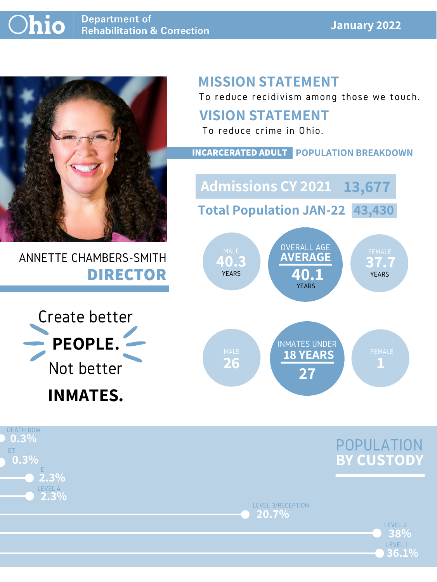#### **January 2022**



## ANNETTE CHAMBERS-SMITH **DIRECTOR**

# **MISSION STATEMENT**

To reduce recidivism among those we touch.





### **VISION STATEMENT**

To reduce crime in Ohio.



#### **INCARCERATED ADULT POPULATION BREAKDOWN**

**Total Population JAN-22 43,430**

**Admissions CY 2021 13,677**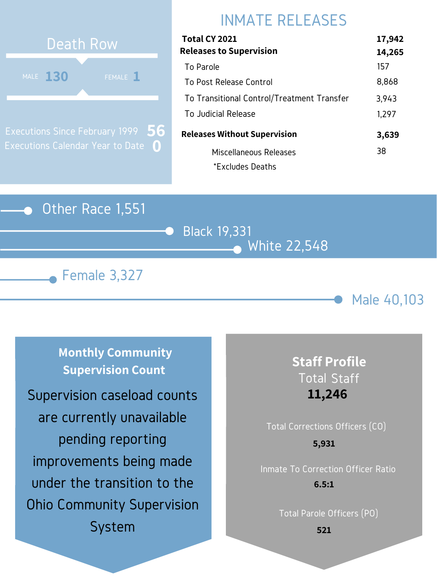### Other Race 1,551







# INMATE RELEASES



Executions Since February 1999 Executions Calendar Year to Date **0 56**

| Total CY 2021                              | 17,942 |
|--------------------------------------------|--------|
| <b>Releases to Supervision</b>             | 14,265 |
| To Parole                                  | 157    |
| To Post Release Control                    | 8,868  |
| To Transitional Control/Treatment Transfer | 3,943  |
| To Judicial Release                        | 1,297  |
| <b>Releases Without Supervision</b>        | 3,639  |
| Miscellaneous Releases                     | 38     |
| *Excludes Deaths                           |        |

**Monthly Community Supervision Count**

# Total Corrections Officers (CO) Inmate To Correction Officer Ratio **5,931**

## **Staff Profile** Total Staff **11,246**

Total Parole Officers (PO)

**6.5:1**

**521**

Supervision caseload counts are currently unavailable pending reporting improvements being made under the transition to the Ohio Community Supervision System